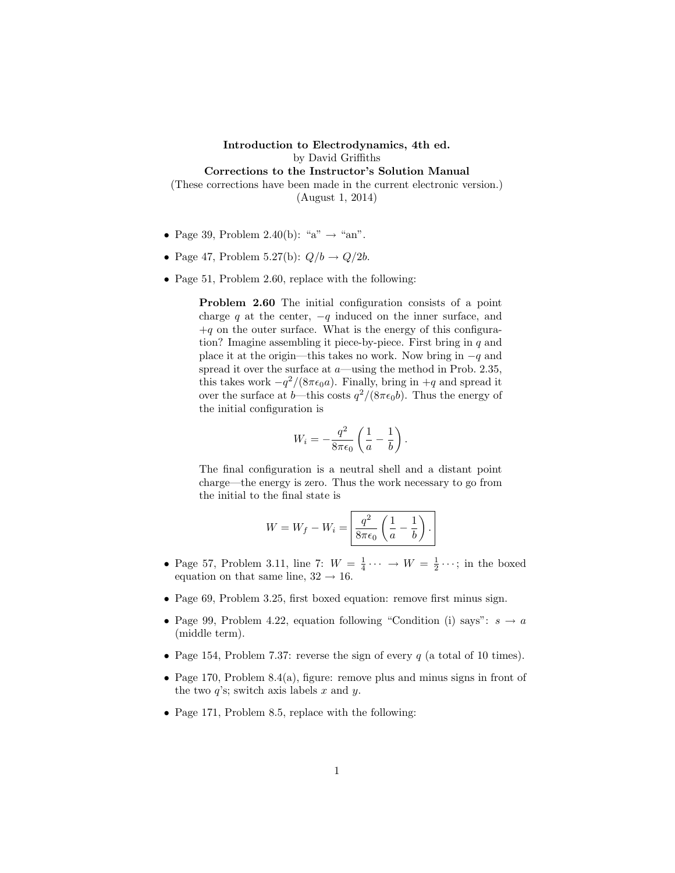Introduction to Electrodynamics, 4th ed. by David Griffiths Corrections to the Instructor's Solution Manual (These corrections have been made in the current electronic version.) (August 1, 2014)

- Page 39, Problem 2.40(b): "a"  $\rightarrow$  "an".
- Page 47, Problem 5.27(b):  $Q/b \rightarrow Q/2b$ .
- Page 51, Problem 2.60, replace with the following:

Problem 2.60 The initial configuration consists of a point charge q at the center,  $-q$  induced on the inner surface, and  $+q$  on the outer surface. What is the energy of this configuration? Imagine assembling it piece-by-piece. First bring in  $q$  and place it at the origin—this takes no work. Now bring in  $-q$  and spread it over the surface at  $a$ —using the method in Prob. 2.35, this takes work  $-q^2/(8\pi\epsilon_0 a)$ . Finally, bring in  $+q$  and spread it over the surface at b—this costs  $q^2/(8\pi\epsilon_0 b)$ . Thus the energy of the initial configuration is

$$
W_i = -\frac{q^2}{8\pi\epsilon_0} \left(\frac{1}{a} - \frac{1}{b}\right).
$$

The final configuration is a neutral shell and a distant point charge—the energy is zero. Thus the work necessary to go from the initial to the final state is

$$
W = W_f - W_i = \boxed{\frac{q^2}{8\pi\epsilon_0} \left(\frac{1}{a} - \frac{1}{b}\right)}.
$$

- Page 57, Problem 3.11, line 7:  $W = \frac{1}{4} \cdots \rightarrow W = \frac{1}{2} \cdots$ ; in the boxed equation on that same line,  $32 \rightarrow 16$ .
- Page 69, Problem 3.25, first boxed equation: remove first minus sign.
- Page 99, Problem 4.22, equation following "Condition (i) says":  $s \to a$ (middle term).
- Page 154, Problem 7.37: reverse the sign of every  $q$  (a total of 10 times).
- Page 170, Problem 8.4(a), figure: remove plus and minus signs in front of the two  $q$ 's; switch axis labels  $x$  and  $y$ .
- Page 171, Problem 8.5, replace with the following: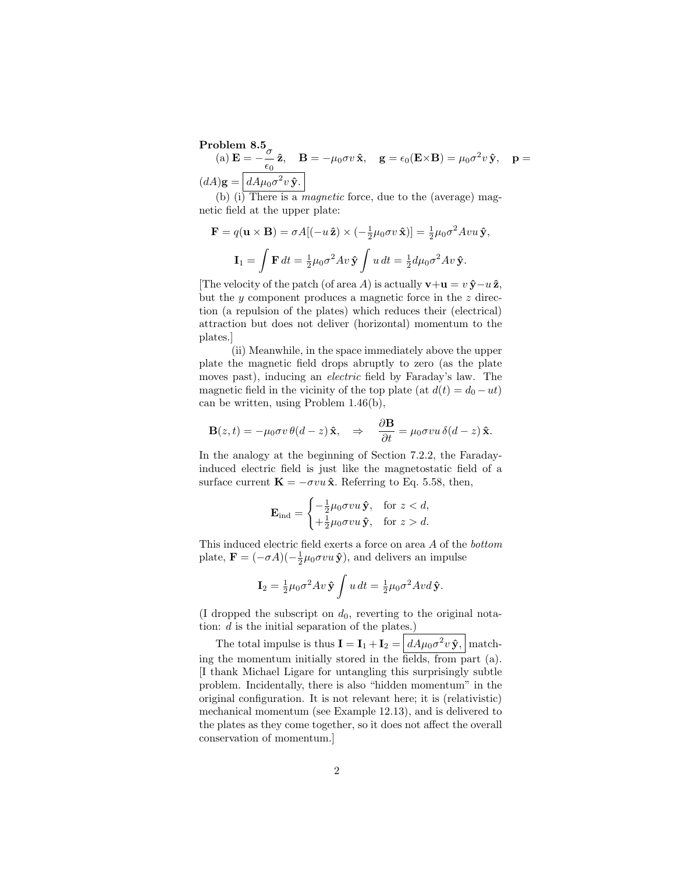Problem 8.5 (a)  $\mathbf{E} = -\frac{\sigma}{\sigma}$  $\frac{\partial}{\partial \epsilon_0} \hat{\mathbf{z}}, \quad \mathbf{B} = -\mu_0 \sigma v \, \hat{\mathbf{x}}, \quad \mathbf{g} = \epsilon_0(\mathbf{E} \times \mathbf{B}) = \mu_0 \sigma^2 v \, \hat{\mathbf{y}}, \quad \mathbf{p} =$  $(dA)$ g =  $dA\mu_0 \sigma^2 v \hat{\mathbf{y}}$ .

(b) (i) There is a *magnetic* force, due to the (average) magnetic field at the upper plate:

$$
\mathbf{F} = q(\mathbf{u} \times \mathbf{B}) = \sigma A[(-u\,\hat{\mathbf{z}}) \times (-\frac{1}{2}\mu_0 \sigma v \,\hat{\mathbf{x}})] = \frac{1}{2}\mu_0 \sigma^2 A v u \,\hat{\mathbf{y}},
$$

$$
\mathbf{I}_1 = \int \mathbf{F} \, dt = \frac{1}{2}\mu_0 \sigma^2 A v \,\hat{\mathbf{y}} \int u \, dt = \frac{1}{2} d\mu_0 \sigma^2 A v \,\hat{\mathbf{y}}.
$$

[The velocity of the patch (of area A) is actually  $\mathbf{v}+\mathbf{u}=v\,\hat{\mathbf{y}}-u\,\hat{\mathbf{z}}$ , but the  $y$  component produces a magnetic force in the  $z$  direction (a repulsion of the plates) which reduces their (electrical) attraction but does not deliver (horizontal) momentum to the plates.]

(ii) Meanwhile, in the space immediately above the upper plate the magnetic field drops abruptly to zero (as the plate moves past), inducing an electric field by Faraday's law. The magnetic field in the vicinity of the top plate (at  $d(t) = d_0 - ut$ ) can be written, using Problem 1.46(b),

$$
\mathbf{B}(z,t) = -\mu_0 \sigma v \,\theta(d-z) \,\hat{\mathbf{x}}, \quad \Rightarrow \quad \frac{\partial \mathbf{B}}{\partial t} = \mu_0 \sigma v u \,\delta(d-z) \,\hat{\mathbf{x}}.
$$

In the analogy at the beginning of Section 7.2.2, the Faradayinduced electric field is just like the magnetostatic field of a surface current  $\mathbf{K} = -\sigma v u \hat{\mathbf{x}}$ . Referring to Eq. 5.58, then,

$$
\mathbf{E}_{\rm ind} = \begin{cases} -\frac{1}{2}\mu_0 \sigma v u \,\hat{\mathbf{y}}, & \text{for } z < d, \\ +\frac{1}{2}\mu_0 \sigma v u \,\hat{\mathbf{y}}, & \text{for } z > d. \end{cases}
$$

This induced electric field exerts a force on area A of the bottom plate,  $\mathbf{F} = (-\sigma A)(-\frac{1}{2}\mu_0 \sigma v u \hat{\mathbf{y}})$ , and delivers an impulse

$$
\mathbf{I}_2 = \frac{1}{2}\mu_0 \sigma^2 Av \,\hat{\mathbf{y}} \int u \, dt = \frac{1}{2}\mu_0 \sigma^2 Avd \,\hat{\mathbf{y}}.
$$

(I dropped the subscript on  $d_0$ , reverting to the original notation:  $d$  is the initial separation of the plates.)

The total impulse is thus  $\mathbf{I} = \mathbf{I}_1 + \mathbf{I}_2 = \left| dA\mu_0 \sigma^2 v \, \hat{\mathbf{y}}, \right|$  matching the momentum initially stored in the fields, from part (a). [I thank Michael Ligare for untangling this surprisingly subtle problem. Incidentally, there is also "hidden momentum" in the original configuration. It is not relevant here; it is (relativistic) mechanical momentum (see Example 12.13), and is delivered to the plates as they come together, so it does not affect the overall conservation of momentum.]